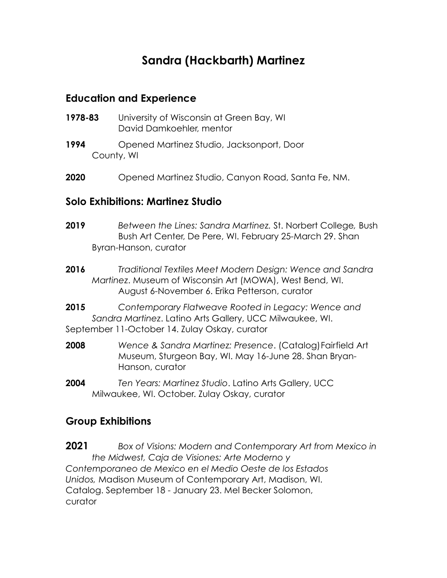# **Sandra (Hackbarth) Martinez**

#### **Education and Experience**

- **1978-83** University of Wisconsin at Green Bay, WI David Damkoehler, mentor
- **1994** Opened Martinez Studio, Jacksonport, Door County, WI
- **2020** Opened Martinez Studio, Canyon Road, Santa Fe, NM.

### **Solo Exhibitions: Martinez Studio**

- **2019** *Between the Lines: Sandra Martinez.* St. Norbert College*,* Bush Bush Art Center, De Pere, WI. February 25-March 29. Shan Byran-Hanson, curator
- **2016** *Traditional Textiles Meet Modern Design: Wence and Sandra Martinez*. Museum of Wisconsin Art (MOWA), West Bend, WI. August 6-November 6. Erika Petterson, curator
- **2015** *Contemporary Flatweave Rooted in Legacy: Wence and Sandra Martinez*. Latino Arts Gallery, UCC Milwaukee, WI. September 11-October 14. Zulay Oskay, curator
- **2008** *Wence & Sandra Martinez: Presence*. (Catalog)Fairfield Art Museum, Sturgeon Bay, WI. May 16-June 28. Shan Bryan-Hanson, curator
- **2004** *Ten Years: Martinez Studio*. Latino Arts Gallery, UCC Milwaukee, WI. October. Zulay Oskay, curator

## **Group Exhibitions**

**2021** *Box of Visions: Modern and Contemporary Art from Mexico in the Midwest, Caja de Visiones: Arte Moderno y Contemporaneo de Mexico en el Medio Oeste de los Estados Unidos,* Madison Museum of Contemporary Art, Madison, WI. Catalog. September 18 - January 23. Mel Becker Solomon, curator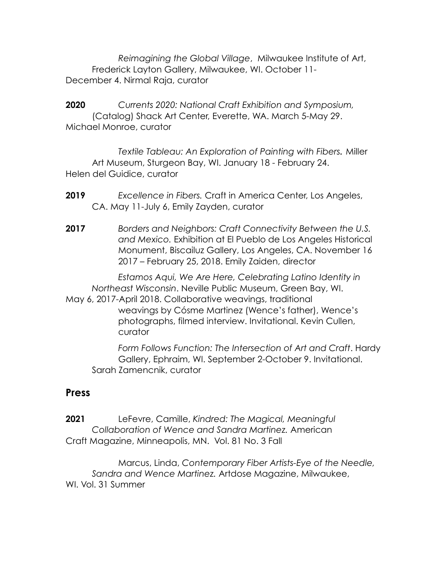*Reimagining the Global Village*, Milwaukee Institute of Art, Frederick Layton Gallery, Milwaukee, WI. October 11- December 4. Nirmal Raja, curator

**2020** *Currents 2020: National Craft Exhibition and Symposium,*  (Catalog) Shack Art Center, Everette, WA. March 5-May 29. Michael Monroe, curator

*Textile Tableau: An Exploration of Painting with Fibers.* Miller Art Museum, Sturgeon Bay, WI. January 18 - February 24. Helen del Guidice, curator

- **2019** *Excellence in Fibers.* Craft in America Center, Los Angeles, CA. May 11-July 6, Emily Zayden, curator
- **2017** *Borders and Neighbors: Craft Connectivity Between the U.S. and Mexico.* Exhibition at El Pueblo de Los Angeles Historical Monument, Biscailuz Gallery, Los Angeles, CA. November 16 2017 – February 25, 2018. Emily Zaiden, director

*Estamos Aqui, We Are Here, Celebrating Latino Identity in Northeast Wisconsin*. Neville Public Museum, Green Bay, WI. May 6, 2017-April 2018. Collaborative weavings, traditional weavings by Cósme Martinez (Wence's father), Wence's photographs, filmed interview. Invitational. Kevin Cullen, curator

*Form Follows Function: The Intersection of Art and Craft*. Hardy Gallery, Ephraim, WI. September 2-October 9. Invitational. Sarah Zamencnik, curator

#### **Press**

**2021** LeFevre, Camille, *Kindred: The Magical, Meaningful Collaboration of Wence and Sandra Martinez.* American Craft Magazine, Minneapolis, MN. Vol. 81 No. 3 Fall

Marcus, Linda, *Contemporary Fiber Artists-Eye of the Needle, Sandra and Wence Martinez.* Artdose Magazine, Milwaukee, WI. Vol. 31 Summer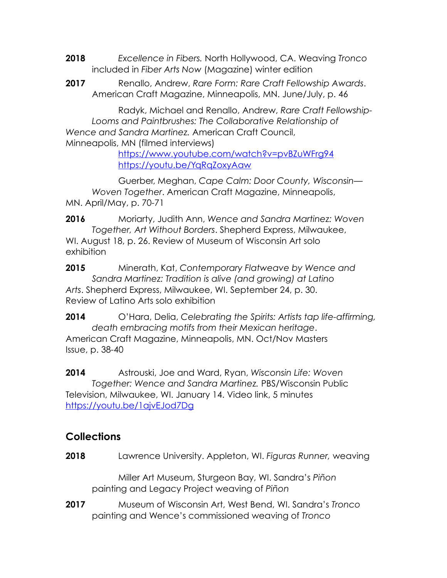- **2018** *Excellence in Fibers.* North Hollywood, CA. Weaving *Tronco* included in *Fiber Arts Now* (Magazine) winter edition
- **2017** Renallo, Andrew, *Rare Form: Rare Craft Fellowship Awards*. American Craft Magazine, Minneapolis, MN. June/July, p. 46

Radyk, Michael and Renallo, Andrew, *Rare Craft Fellowship-Looms and Paintbrushes: The Collaborative Relationship of Wence and Sandra Martinez.* American Craft Council, Minneapolis, MN (filmed interviews)

<https://www.youtube.com/watch?v=pvBZuWFrg94> <https://youtu.be/YqRqZoxyAaw>

Guerber, Meghan, *Cape Calm: Door County, Wisconsin— Woven Together*. American Craft Magazine, Minneapolis, MN. April/May, p. 70-71

**2016** Moriarty, Judith Ann, *Wence and Sandra Martinez: Woven Together, Art Without Borders*. Shepherd Express, Milwaukee, WI. August 18, p. 26. Review of Museum of Wisconsin Art solo exhibition

**2015** Minerath, Kat, *Contemporary Flatweave by Wence and Sandra Martinez: Tradition is alive (and growing) at Latino Arts*. Shepherd Express, Milwaukee, WI. September 24, p. 30. Review of Latino Arts solo exhibition

**2014** O'Hara, Delia, *Celebrating the Spirits: Artists tap life-affirming, death embracing motifs from their Mexican heritage*. American Craft Magazine, Minneapolis, MN. Oct/Nov Masters Issue, p. 38-40

**2014** Astrouski, Joe and Ward, Ryan, *Wisconsin Life: Woven Together: Wence and Sandra Martinez.* PBS/Wisconsin Public Television, Milwaukee, WI. January 14. Video link, 5 minutes <https://youtu.be/1ajvEJod7Dg>

# **Collections**

**2018** Lawrence University. Appleton, WI. *Figuras Runner,* weaving

Miller Art Museum, Sturgeon Bay, WI. Sandra's *Piñon* painting and Legacy Project weaving of *Piñon*

**2017** Museum of Wisconsin Art, West Bend, WI. Sandra's *Tronco* painting and Wence's commissioned weaving of *Tronco*